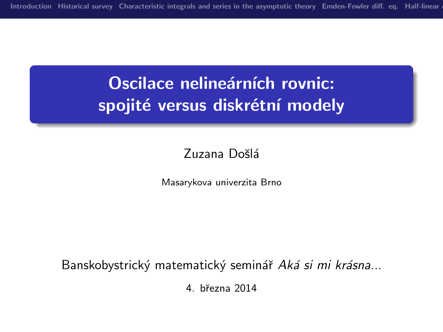# Oscilace nelineárních rovnic: spojité versus diskrétní modely

#### Zuzana Došlá

Masarykova univerzita Brno

Banskobystrický matematický seminář Aká si mi krásna...

4. bˇrezna 2014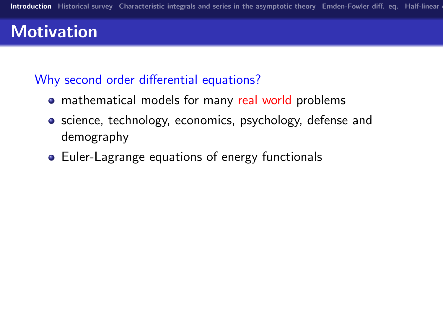# **Motivation**

### Why second order differential equations?

- mathematical models for many real world problems
- **•** science, technology, economics, psychology, defense and demography
- <span id="page-1-0"></span>• Euler-Lagrange equations of energy functionals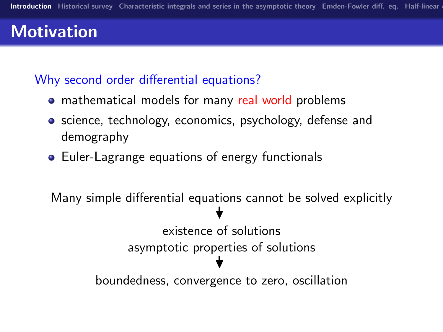# **Motivation**

#### Why second order differential equations?

- mathematical models for many real world problems
- **•** science, technology, economics, psychology, defense and demography
- Euler-Lagrange equations of energy functionals

```
Many simple differential equations cannot be solved explicitly
                    \bigstarexistence of solutions
   asymptotic properties of solutions
                    \bigstarboundedness, convergence to zero, oscillation
```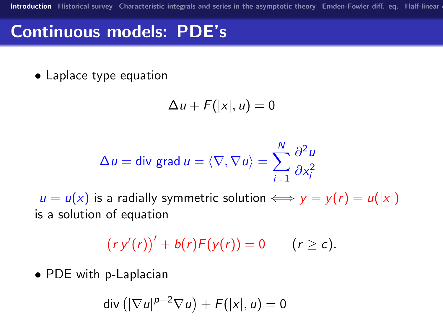# Continuous models: PDE's

• Laplace type equation

$$
\Delta u + F(|x|, u) = 0
$$

$$
\Delta u = \text{div grad } u = \langle \nabla, \nabla u \rangle = \sum_{i=1}^{N} \frac{\partial^2 u}{\partial x_i^2}
$$

 $u = u(x)$  is a radially symmetric solution  $\iff y = y(r) = u(|x|)$ is a solution of equation

$$
(ry'(r))' + b(r)F(y(r)) = 0 \qquad (r \geq c).
$$

• PDE with p-Laplacian

$$
\mathsf{div}\left(|\nabla u|^{p-2}\nabla u\right)+\mathsf{F}(|x|,u)=0
$$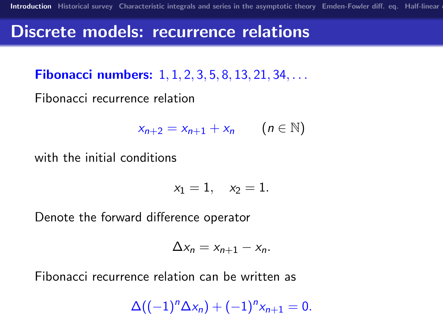## Discrete models: recurrence relations

**Fibonacci numbers:** 1, 1, 2, 3, 5, 8, 13, 21, 34, ...

Fibonacci recurrence relation

$$
x_{n+2} = x_{n+1} + x_n \qquad (n \in \mathbb{N})
$$

with the initial conditions

 $x_1 = 1$ ,  $x_2 = 1$ .

Denote the forward difference operator

$$
\Delta x_n = x_{n+1} - x_n.
$$

Fibonacci recurrence relation can be written as

$$
\Delta((-1)^n \Delta x_n) + (-1)^n x_{n+1} = 0.
$$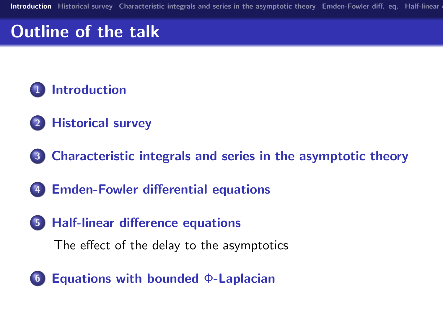# Outline of the talk



- [Historical survey](#page-6-0)
- [Characteristic integrals and series in the asymptotic theory](#page-14-0)
- [Emden-Fowler differential equations](#page-23-0)
- [Half-linear difference equations](#page-29-0)

[The effect of the delay to the asymptotics](#page-29-0)

[Equations with bounded](#page-38-0) Φ-Laplacian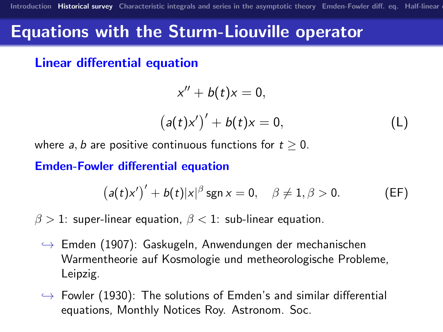## Equations with the Sturm-Liouville operator

Linear differential equation

$$
x'' + b(t)x = 0,
$$

$$
(a(t)x')' + b(t)x = 0,
$$
 (L)

where a, b are positive continuous functions for  $t \geq 0$ .

Emden-Fowler differential equation

<span id="page-6-1"></span>
$$
(a(t)x')' + b(t)|x|^{\beta} \operatorname{sgn} x = 0, \quad \beta \neq 1, \beta > 0. \tag{EF}
$$

 $\beta > 1$ : super-linear equation,  $\beta < 1$ : sub-linear equation.

- $\rightarrow$  Emden (1907): Gaskugeln, Anwendungen der mechanischen Warmentheorie auf Kosmologie und metheorologische Probleme, Leipzig.
- <span id="page-6-0"></span> $\rightarrow$  Fowler (1930): The solutions of Emden's and similar differential equations, Monthly Notices Roy. Astronom. Soc.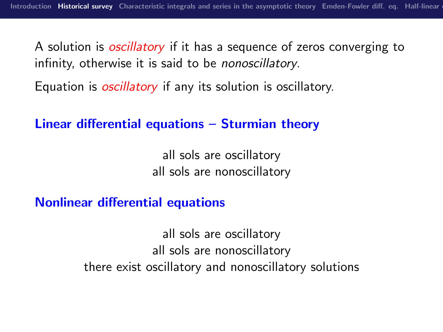A solution is *oscillatory* if it has a sequence of zeros converging to infinity, otherwise it is said to be nonoscillatory.

Equation is *oscillatory* if any its solution is oscillatory.

Linear differential equations – Sturmian theory

all sols are oscillatory all sols are nonoscillatory

Nonlinear differential equations

all sols are oscillatory all sols are nonoscillatory there exist oscillatory and nonoscillatory solutions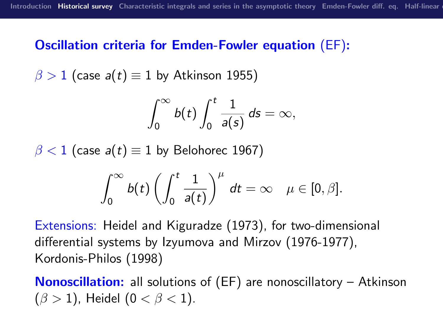#### Oscillation criteria for Emden-Fowler equation [\(EF\)](#page-6-1):

$$
\beta > 1
$$
 (case  $a(t) \equiv 1$  by Atkinson 1955)

$$
\int_0^\infty b(t)\int_0^t \frac{1}{a(s)}\,ds=\infty,
$$

 $\beta$  < 1 (case a(t)  $\equiv$  1 by Belohorec 1967)

$$
\int_0^\infty b(t)\left(\int_0^t \frac{1}{a(t)}\right)^\mu dt = \infty \quad \mu \in [0,\beta].
$$

Extensions: Heidel and Kiguradze (1973), for two-dimensional differential systems by Izyumova and Mirzov (1976-1977), Kordonis-Philos (1998)

Nonoscillation: all solutions of [\(EF\)](#page-6-1) are nonoscillatory – Atkinson  $(\beta > 1)$ , Heidel  $(0 < \beta < 1)$ .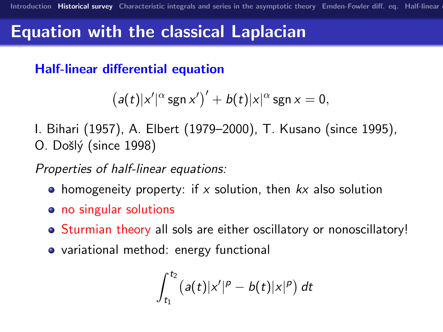## Equation with the classical Laplacian

Half-linear differential equation

$$
(a(t)|x'|^{\alpha}\operatorname{sgn} x')' + b(t)|x|^{\alpha}\operatorname{sgn} x = 0,
$$

I. Bihari (1957), A. Elbert (1979–2000), T. Kusano (since 1995), O. Došlý (since 1998)

Properties of half-linear equations:

- homogeneity property: if x solution, then  $kx$  also solution
- no singular solutions
- Sturmian theory all sols are either oscillatory or nonoscillatory!
- variational method: energy functional

$$
\int_{t_1}^{t_2} (a(t)|x'|^p - b(t)|x|^p) dt
$$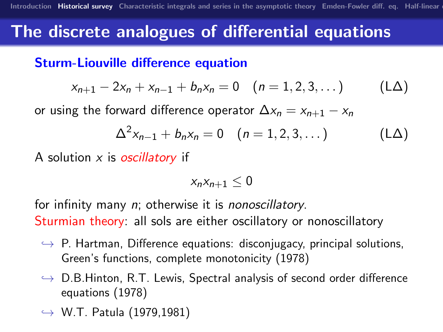## The discrete analogues of differential equations

#### Sturm-Liouville difference equation

$$
x_{n+1} - 2x_n + x_{n-1} + b_n x_n = 0 \quad (n = 1, 2, 3, ...)
$$
 (LA)

or using the forward difference operator  $\Delta x_n = x_{n+1} - x_n$ 

$$
\Delta^{2} x_{n-1} + b_{n} x_{n} = 0 \quad (n = 1, 2, 3, ...)
$$
 (LA)

A solution  $x$  is *oscillatory* if

$$
x_nx_{n+1}\leq 0
$$

for infinity many *n*; otherwise it is *nonoscillatory*. Sturmian theory: all sols are either oscillatory or nonoscillatory

- $\rightarrow$  P. Hartman, Difference equations: disconjugacy, principal solutions, Green's functions, complete monotonicity (1978)
- $\rightarrow$  D.B.Hinton, R.T. Lewis, Spectral analysis of second order difference equations (1978)
- $\rightarrow$  W.T. Patula (1979,1981)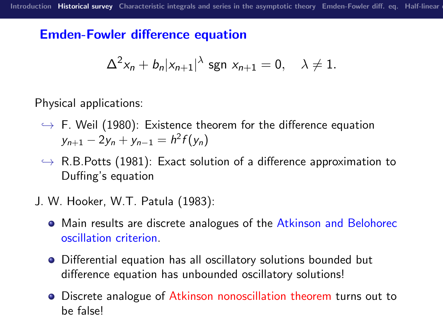### Emden-Fowler difference equation

$$
\Delta^2 x_n + b_n |x_{n+1}|^{\lambda} \text{ sgn } x_{n+1} = 0, \quad \lambda \neq 1.
$$

Physical applications:

- $\rightarrow$  F. Weil (1980): Existence theorem for the difference equation  $y_{n+1} - 2y_n + y_{n-1} = h^2 f(y_n)$
- $\rightarrow$  R.B. Potts (1981): Exact solution of a difference approximation to Duffing's equation
- J. W. Hooker, W.T. Patula (1983):
	- Main results are discrete analogues of the Atkinson and Belohorec oscillation criterion.
	- Differential equation has all oscillatory solutions bounded but difference equation has unbounded oscillatory solutions!
	- Discrete analogue of Atkinson nonoscillation theorem turns out to be false!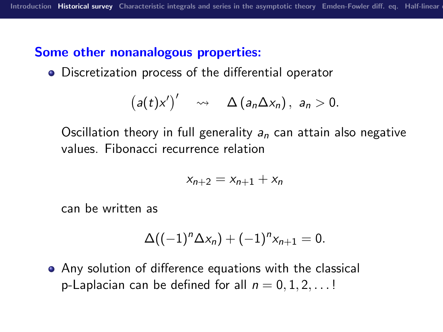### Some other nonanalogous properties:

Discretization process of the differential operator

$$
(a(t)x')'\quad \rightsquigarrow\quad \Delta(a_n\Delta x_n),\ a_n>0.
$$

Oscillation theory in full generality  $a_n$  can attain also negative values. Fibonacci recurrence relation

$$
x_{n+2}=x_{n+1}+x_n
$$

can be written as

$$
\Delta((-1)^n \Delta x_n) + (-1)^n x_{n+1} = 0.
$$

Any solution of difference equations with the classical p-Laplacian can be defined for all  $n = 0, 1, 2, \ldots$ !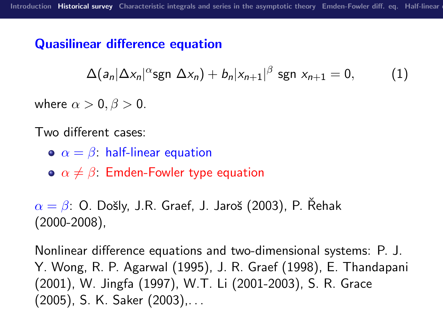### Quasilinear difference equation

$$
\Delta(a_n|\Delta x_n|^{\alpha}\text{sgn }\Delta x_n)+b_n|x_{n+1}|^{\beta}\text{sgn }x_{n+1}=0, \qquad (1)
$$

where  $\alpha > 0$ ,  $\beta > 0$ .

Two different cases:

- $\alpha = \beta$ : half-linear equation
- $\bullet \ \alpha \neq \beta$ . Emden-Fowler type equation

 $\alpha = \beta$ : O. Došly, J.R. Graef, J. Jaroš (2003), P. Řehak (2000-2008),

Nonlinear difference equations and two-dimensional systems: P. J. Y. Wong, R. P. Agarwal (1995), J. R. Graef (1998), E. Thandapani (2001), W. Jingfa (1997), W.T. Li (2001-2003), S. R. Grace (2005), S. K. Saker (2003),. . .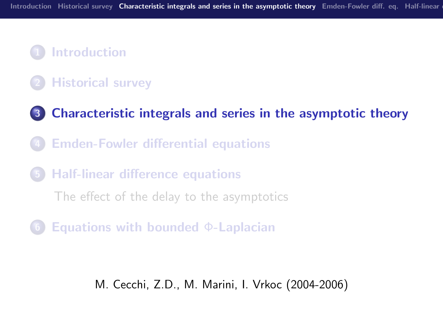## **[Introduction](#page-1-0)**

### **[Historical survey](#page-6-0)**

- 3 [Characteristic integrals and series in the asymptotic theory](#page-14-0)
- **[Emden-Fowler differential equations](#page-23-0)**
- 5 [Half-linear difference equations](#page-29-0)

[The effect of the delay to the asymptotics](#page-29-0)

<span id="page-14-0"></span>[Equations with bounded](#page-38-0)  $\Phi$ -Laplacian

M. Cecchi, Z.D., M. Marini, I. Vrkoc (2004-2006)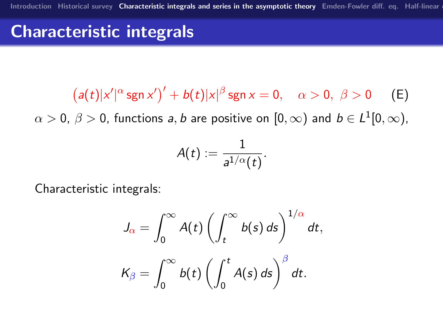# Characteristic integrals

<span id="page-15-0"></span> $(a(t)|x'|^{\alpha}$ sgn  $x')' + b(t)|x|^{\beta}$ sgn  $x = 0$ ,  $\alpha > 0$ ,  $\beta > 0$  (E)  $\alpha>0, \ \beta>0,$  functions  $a,b$  are positive on  $[0,\infty)$  and  $b\in L^1[0,\infty),$ 

$$
A(t):=\frac{1}{a^{1/\alpha}(t)}.
$$

Characteristic integrals:

$$
J_{\alpha} = \int_0^{\infty} A(t) \left( \int_t^{\infty} b(s) \, ds \right)^{1/\alpha} dt,
$$
  

$$
K_{\beta} = \int_0^{\infty} b(t) \left( \int_0^t A(s) \, ds \right)^{\beta} dt.
$$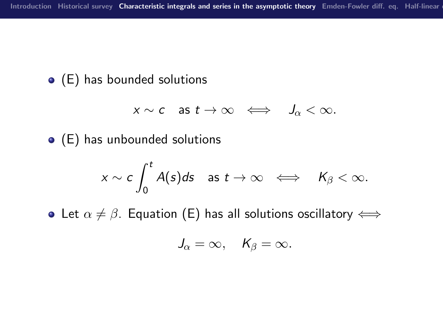### [\(E\)](#page-15-0) has bounded solutions

$$
x \sim c \quad \text{as } t \to \infty \quad \Longleftrightarrow \quad J_\alpha < \infty.
$$

[\(E\)](#page-15-0) has unbounded solutions

$$
x \sim c \int_0^t A(s) ds \quad \text{as } t \to \infty \quad \Longleftrightarrow \quad K_\beta < \infty.
$$

• Let  $\alpha \neq \beta$ . Equation [\(E\)](#page-15-0) has all solutions oscillatory  $\Longleftrightarrow$ 

$$
J_{\alpha}=\infty, \quad K_{\beta}=\infty.
$$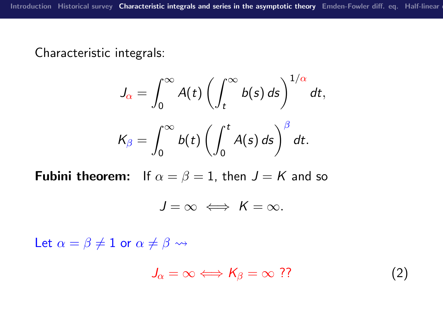Characteristic integrals:

$$
J_{\alpha} = \int_0^{\infty} A(t) \left( \int_t^{\infty} b(s) \, ds \right)^{1/\alpha} dt,
$$
  

$$
K_{\beta} = \int_0^{\infty} b(t) \left( \int_0^t A(s) \, ds \right)^{\beta} dt.
$$

**Fubini theorem:** If  $\alpha = \beta = 1$ , then  $J = K$  and so

$$
J=\infty \iff K=\infty.
$$

Let  $\alpha = \beta \neq 1$  or  $\alpha \neq \beta \rightsquigarrow$ 

$$
J_{\alpha} = \infty \Longleftrightarrow K_{\beta} = \infty ??
$$
 (2)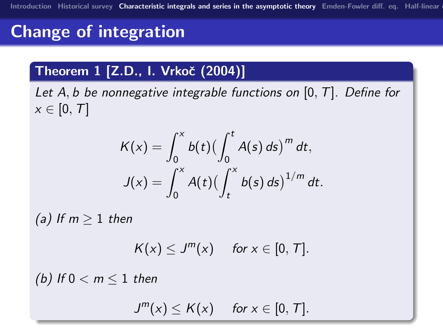# Change of integration

### Theorem 1 [Z.D., I. Vrkoč (2004)]

Let A, b be nonnegative integrable functions on  $[0, T]$ . Define for  $x \in [0, T]$ 

$$
K(x) = \int_0^x b(t) \left(\int_0^t A(s) \, ds\right)^m dt,
$$
  

$$
J(x) = \int_0^x A(t) \left(\int_t^x b(s) \, ds\right)^{1/m} dt.
$$

(a) If  $m > 1$  then

$$
K(x) \leq J^m(x) \quad \text{ for } x \in [0, T].
$$

(b) If  $0 < m < 1$  then

 $J^m(x) \le K(x)$  for  $x \in [0, T]$ .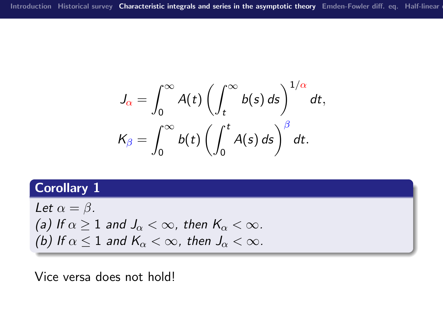$$
J_{\alpha} = \int_0^{\infty} A(t) \left( \int_t^{\infty} b(s) \, ds \right)^{1/\alpha} dt,
$$
  

$$
K_{\beta} = \int_0^{\infty} b(t) \left( \int_0^t A(s) \, ds \right)^{\beta} dt.
$$

### Corollary 1

Let 
$$
\alpha = \beta
$$
.  
(a) If  $\alpha \ge 1$  and  $J_{\alpha} < \infty$ , then  $K_{\alpha} < \infty$ .  
(b) If  $\alpha \le 1$  and  $K_{\alpha} < \infty$ , then  $J_{\alpha} < \infty$ .

Vice versa does not hold!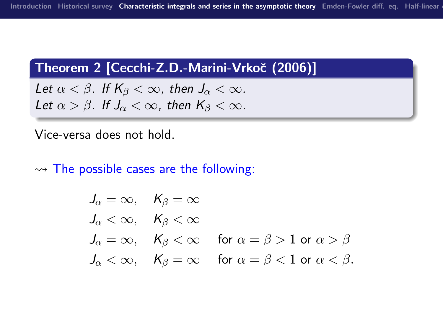#### Theorem 2 [Cecchi-Z.D.-Marini-Vrkoč (2006)]

Let  $\alpha < \beta$ . If  $K_{\beta} < \infty$ , then  $J_{\alpha} < \infty$ . Let  $\alpha > \beta$ . If  $J_{\alpha} < \infty$ , then  $K_{\beta} < \infty$ .

#### Vice-versa does not hold.

 $\rightarrow$  The possible cases are the following:

$$
J_{\alpha} = \infty, \quad K_{\beta} = \infty
$$
  
\n
$$
J_{\alpha} < \infty, \quad K_{\beta} < \infty
$$
  
\n
$$
J_{\alpha} = \infty, \quad K_{\beta} < \infty \quad \text{for } \alpha = \beta > 1 \text{ or } \alpha > \beta
$$
  
\n
$$
J_{\alpha} < \infty, \quad K_{\beta} = \infty \quad \text{for } \alpha = \beta < 1 \text{ or } \alpha < \beta.
$$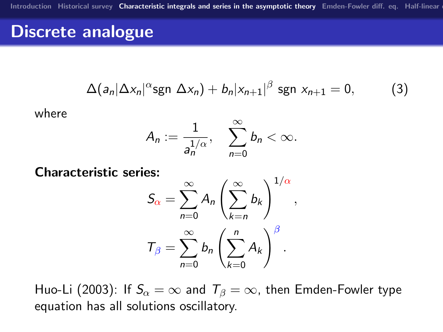## Discrete analogue

$$
\Delta(a_n|\Delta x_n|^{\alpha}\text{sgn }\Delta x_n)+b_n|x_{n+1}|^{\beta}\text{sgn }x_{n+1}=0,
$$
 (3)

where

$$
A_n:=\frac{1}{a_n^{1/\alpha}},\quad \sum_{n=0}^\infty b_n<\infty.
$$

Characteristic series:

$$
S_{\alpha} = \sum_{n=0}^{\infty} A_n \left( \sum_{k=n}^{\infty} b_k \right)^{1/\alpha},
$$

$$
T_{\beta} = \sum_{n=0}^{\infty} b_n \left( \sum_{k=0}^{n} A_k \right)^{\beta}.
$$

Huo-Li (2003): If  $S_\alpha = \infty$  and  $T_\beta = \infty$ , then Emden-Fowler type equation has all solutions oscillatory.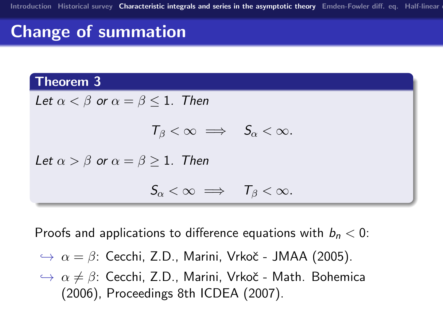# Change of summation

#### Theorem 3



Proofs and applications to difference equations with  $b_n < 0$ :

- $\rightarrow \alpha = \beta$ : Cecchi, Z.D., Marini, Vrkoč JMAA (2005).
- $\rightarrow \alpha \neq \beta$ : Cecchi, Z.D., Marini, Vrkoč Math. Bohemica (2006), Proceedings 8th ICDEA (2007).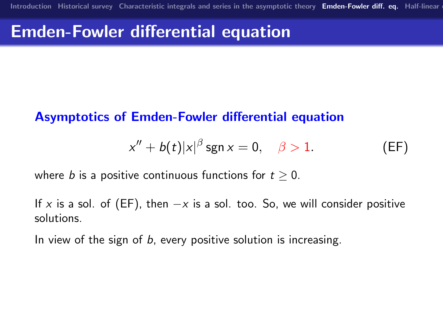## Emden-Fowler differential equation

#### Asymptotics of Emden-Fowler differential equation

$$
x'' + b(t)|x|^{\beta} \operatorname{sgn} x = 0, \quad \beta > 1. \tag{EF}
$$

where b is a positive continuous functions for  $t > 0$ .

If x is a sol. of [\(EF\)](#page-6-1), then  $-x$  is a sol. too. So, we will consider positive solutions.

<span id="page-23-0"></span>In view of the sign of b, every positive solution is increasing.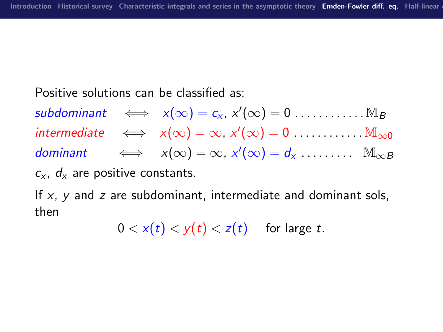#### Positive solutions can be classified as:

 $subdominant \iff x(\infty) = c_x, x'(\infty) = 0 \dots \dots \dots \dots M_B$  $intermediate \iff x(\infty) = \infty, x'(\infty) = 0 \dots \dots \dots \dots \dots \dots$ dominant  $\iff x(\infty) = \infty, x'(\infty) = d_x \dots \dots \dots \dots \dots$  $c_x$ ,  $d_x$  are positive constants.

If  $x$ ,  $y$  and  $z$  are subdominant, intermediate and dominant sols, then

 $0 < x(t) < y(t) < z(t)$  for large t.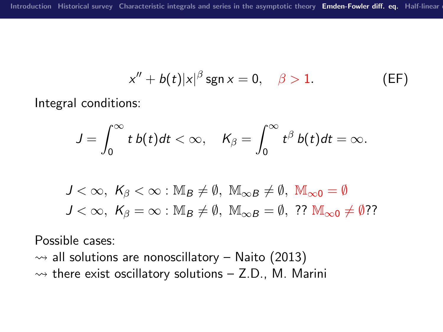$$
x'' + b(t)|x|^{\beta} \operatorname{sgn} x = 0, \quad \beta > 1. \tag{EF}
$$

Integral conditions:

$$
J=\int_0^\infty t\ b(t)dt<\infty,\quad \mathcal K_\beta=\int_0^\infty t^\beta\ b(t)dt=\infty.
$$

$$
J < \infty, \ K_{\beta} < \infty : M_B \neq \emptyset, \ M_{\infty} = \emptyset, \ M_{\infty} = \emptyset
$$
  

$$
J < \infty, \ K_{\beta} = \infty : M_B \neq \emptyset, \ M_{\infty} = \emptyset, \ ? \ M_{\infty} = \emptyset \neq \emptyset
$$
?

Possible cases:

 $\rightarrow$  all solutions are nonoscillatory – Naito (2013)  $\rightarrow$  there exist oscillatory solutions – Z.D., M. Marini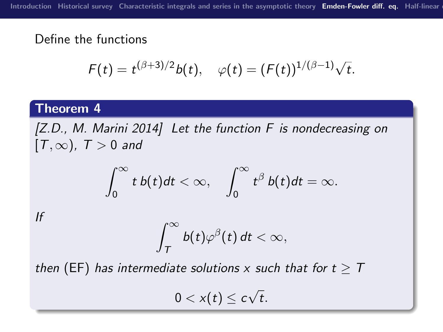#### Define the functions

$$
F(t) = t^{(\beta+3)/2}b(t), \quad \varphi(t) = (F(t))^{1/(\beta-1)}\sqrt{t}.
$$

#### Theorem 4

[Z.D., M. Marini 2014] Let the function F is nondecreasing on  $[T, \infty)$ ,  $T > 0$  and

$$
\int_0^\infty t\,b(t)dt<\infty,\quad \int_0^\infty t^\beta\,b(t)dt=\infty.
$$

If

$$
\int_T^\infty b(t)\varphi^\beta(t)\,dt<\infty,
$$

then [\(EF\)](#page-6-1) has intermediate solutions x such that for  $t \geq T$ 

 $0 < x(t) \leq c$ √ t.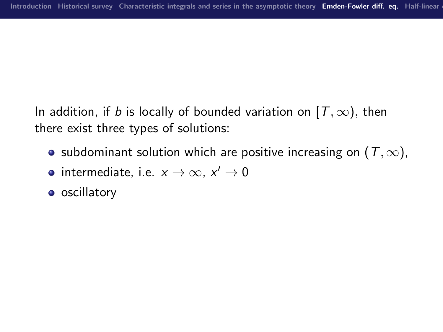In addition, if b is locally of bounded variation on  $[T, \infty)$ , then there exist three types of solutions:

- subdominant solution which are positive increasing on  $(T, \infty)$ ,
- intermediate, i.e.  $x \to \infty$ ,  $x' \to 0$
- **o** oscillatory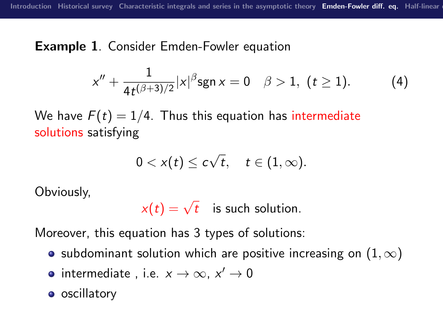Example 1. Consider Emden-Fowler equation

$$
x'' + \frac{1}{4t^{(\beta+3)/2}} |x|^{\beta} \operatorname{sgn} x = 0 \quad \beta > 1, \ (t \ge 1).
$$
 (4)

We have  $F(t) = 1/4$ . Thus this equation has intermediate solutions satisfying

$$
0 < x(t) \leq c\sqrt{t}, \quad t \in (1,\infty).
$$

Obviously,

 $x(t) = \sqrt{t}$  is such solution.

Moreover, this equation has 3 types of solutions:

- subdominant solution which are positive increasing on  $(1,\infty)$
- intermediate, i.e.  $x \to \infty$ ,  $x' \to 0$
- **o** oscillatory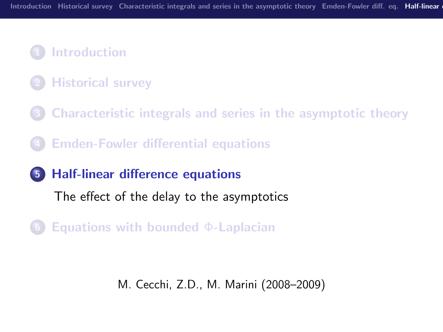## **[Introduction](#page-1-0)**

- **[Historical survey](#page-6-0)**
- 3 [Characteristic integrals and series in the asymptotic theory](#page-14-0)
- **[Emden-Fowler differential equations](#page-23-0)**
- 5 [Half-linear difference equations](#page-29-0)

[The effect of the delay to the asymptotics](#page-29-0)

<span id="page-29-0"></span>[Equations with bounded](#page-38-0)  $\Phi$ -Laplacian

M. Cecchi, Z.D., M. Marini (2008–2009)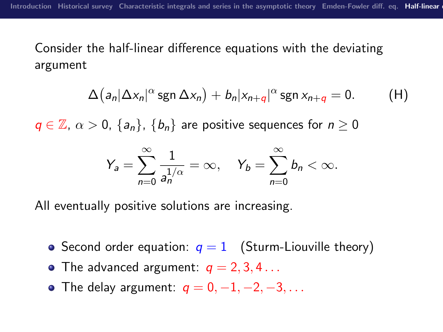### Consider the half-linear difference equations with the deviating argument

$$
\Delta (a_n|\Delta x_n|^{\alpha} \operatorname{sgn} \Delta x_n) + b_n |x_{n+q}|^{\alpha} \operatorname{sgn} x_{n+q} = 0. \qquad \text{(H)}
$$

 $q \in \mathbb{Z}, \ \alpha > 0, \ \{a_n\}, \ \{b_n\}$  are positive sequences for  $n \geq 0$ 

<span id="page-30-0"></span>
$$
Y_a = \sum_{n=0}^{\infty} \frac{1}{a_n^{1/\alpha}} = \infty, \quad Y_b = \sum_{n=0}^{\infty} b_n < \infty.
$$

All eventually positive solutions are increasing.

- Second order equation:  $q = 1$  (Sturm-Liouville theory)
- The advanced argument:  $q = 2, 3, 4...$
- The delay argument:  $q = 0, -1, -2, -3, \ldots$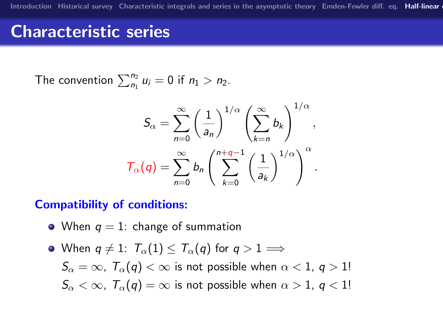# Characteristic series

The convention  $\sum_{n_1}^{n_2} u_i = 0$  if  $n_1 > n_2$ .

$$
S_{\alpha} = \sum_{n=0}^{\infty} \left(\frac{1}{a_n}\right)^{1/\alpha} \left(\sum_{k=n}^{\infty} b_k\right)^{1/\alpha},
$$

$$
T_{\alpha}(q) = \sum_{n=0}^{\infty} b_n \left(\sum_{k=0}^{n+q-1} \left(\frac{1}{a_k}\right)^{1/\alpha}\right)^{\alpha}.
$$

#### Compatibility of conditions:

- When  $q = 1$ : change of summation
- When  $q \neq 1$ :  $T_{\alpha}(1) \leq T_{\alpha}(q)$  for  $q > 1 \Longrightarrow$

 $S_{\alpha} = \infty$ ,  $T_{\alpha}(q) < \infty$  is not possible when  $\alpha < 1$ ,  $q > 1!$  $S_{\alpha} < \infty$ ,  $T_{\alpha}(q) = \infty$  is not possible when  $\alpha > 1$ ,  $q < 1!$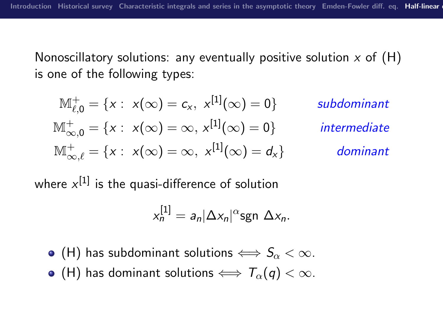Nonoscillatory solutions: any eventually positive solution  $x$  of  $(H)$ is one of the following types:

$$
\mathbb{M}_{\ell,0}^+ = \{x : x(\infty) = c_x, x^{[1]}(\infty) = 0\}
$$
subdominant  

$$
\mathbb{M}_{\infty,0}^+ = \{x : x(\infty) = \infty, x^{[1]}(\infty) = 0\}
$$
intermediate  

$$
\mathbb{M}_{\infty,\ell}^+ = \{x : x(\infty) = \infty, x^{[1]}(\infty) = d_x\}
$$
dominant

where  $\mathsf{x}^{[1]}$  is the quasi-difference of solution

$$
x_n^{[1]} = a_n |\Delta x_n|^{\alpha} \text{sgn } \Delta x_n.
$$

- [\(H\)](#page-30-0) has subdominant solutions  $\Longleftrightarrow S_\alpha < \infty$ .
- [\(H\)](#page-30-0) has dominant solutions  $\iff T_{\alpha}(q) < \infty$ .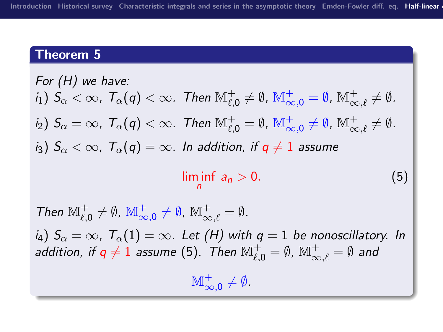#### Theorem 5

For (H) we have:  
\n
$$
i_1
$$
)  $S_{\alpha} < \infty$ ,  $T_{\alpha}(q) < \infty$ . Then  $\mathbb{M}_{\ell,0}^+ \neq \emptyset$ ,  $\mathbb{M}_{\infty,0}^+ = \emptyset$ ,  $\mathbb{M}_{\infty,\ell}^+ \neq \emptyset$ .  
\n $i_2$ )  $S_{\alpha} = \infty$ ,  $T_{\alpha}(q) < \infty$ . Then  $\mathbb{M}_{\ell,0}^+ = \emptyset$ ,  $\mathbb{M}_{\infty,0}^+ \neq \emptyset$ ,  $\mathbb{M}_{\infty,\ell}^+ \neq \emptyset$ .  
\n $i_3$ )  $S_{\alpha} < \infty$ ,  $T_{\alpha}(q) = \infty$ . In addition, if  $q \neq 1$  assume  
\n
$$
\liminf_{n} a_n > 0.
$$
 (5)

<span id="page-33-0"></span>Then  $\mathbb{M}_{\ell,0}^+ \neq \emptyset$ ,  $\mathbb{M}_{\infty,0}^+ \neq \emptyset$ ,  $\mathbb{M}_{\infty,\ell}^+ = \emptyset$ .  $i_4$ )  $S_\alpha = \infty$ ,  $T_\alpha(1) = \infty$ . Let [\(H\)](#page-30-0) with  $q = 1$  be nonoscillatory. In addition, if  $q\neq 1$  assume [\(5\)](#page-33-0). Then  $\mathbb{M}_{\ell,0}^+=\emptyset$ ,  $\mathbb{M}_{\infty,\ell}^+=\emptyset$  and  $\mathbb{M}_{\infty,0}^+ \neq \emptyset$ .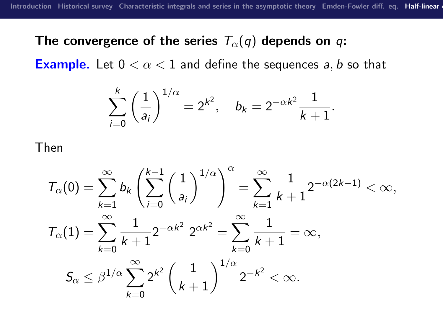#### The convergence of the series  $T_{\alpha}(q)$  depends on q:

**Example.** Let  $0 < \alpha < 1$  and define the sequences a, b so that

$$
\sum_{i=0}^k \left(\frac{1}{a_i}\right)^{1/\alpha} = 2^{k^2}, \quad b_k = 2^{-\alpha k^2} \frac{1}{k+1}.
$$

Then

$$
T_{\alpha}(0) = \sum_{k=1}^{\infty} b_k \left( \sum_{i=0}^{k-1} \left( \frac{1}{a_i} \right)^{1/\alpha} \right)^{\alpha} = \sum_{k=1}^{\infty} \frac{1}{k+1} 2^{-\alpha(2k-1)} < \infty,
$$
  

$$
T_{\alpha}(1) = \sum_{k=0}^{\infty} \frac{1}{k+1} 2^{-\alpha k^2} 2^{\alpha k^2} = \sum_{k=0}^{\infty} \frac{1}{k+1} = \infty,
$$
  

$$
S_{\alpha} \leq \beta^{1/\alpha} \sum_{k=0}^{\infty} 2^{k^2} \left( \frac{1}{k+1} \right)^{1/\alpha} 2^{-k^2} < \infty.
$$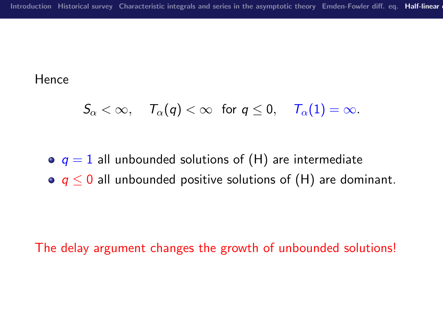**Hence** 

$$
\mathcal{S}_\alpha<\infty,\quad \ \mathcal{T}_\alpha(\mathfrak{q})<\infty\ \ \text{ for } \mathfrak{q}\leq 0,\quad \ \mathcal{T}_\alpha(1)=\infty.
$$

 $q = 1$  all unbounded solutions of [\(H\)](#page-30-0) are intermediate

 $\bullet$   $q \leq 0$  all unbounded positive solutions of [\(H\)](#page-30-0) are dominant.

The delay argument changes the growth of unbounded solutions!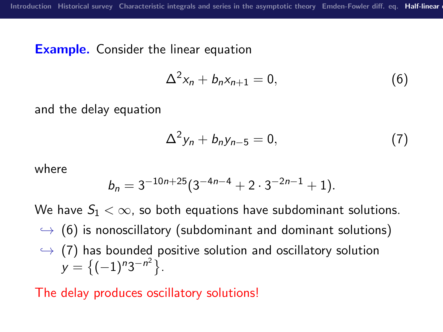#### **Example.** Consider the linear equation

<span id="page-36-0"></span>
$$
\Delta^2 x_n + b_n x_{n+1} = 0, \qquad (6)
$$

and the delay equation

<span id="page-36-1"></span>
$$
\Delta^2 y_n + b_n y_{n-5} = 0, \qquad (7)
$$

where

$$
b_n = 3^{-10n+25} (3^{-4n-4} + 2 \cdot 3^{-2n-1} + 1).
$$

We have  $S_1 < \infty$ , so both equations have subdominant solutions.  $\rightarrow$  [\(6\)](#page-36-0) is nonoscillatory (subdominant and dominant solutions)  $\leftrightarrow$  [\(7\)](#page-36-1) has bounded positive solution and oscillatory solution  $y = \{(-1)^n 3^{-n^2}\}.$ 

The delay produces oscillatory solutions!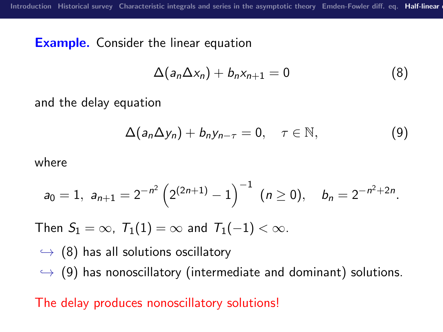**Example.** Consider the linear equation

<span id="page-37-0"></span>
$$
\Delta(a_n\Delta x_n)+b_nx_{n+1}=0
$$
 (8)

and the delay equation

<span id="page-37-1"></span>
$$
\Delta(a_n\Delta y_n)+b_ny_{n-\tau}=0,\quad \tau\in\mathbb{N},\qquad \qquad (9)
$$

where

$$
a_0=1, a_{n+1}=2^{-n^2}\left(2^{(2n+1)}-1\right)^{-1} (n\geq 0), b_n=2^{-n^2+2n}.
$$

Then  $S_1 = \infty$ ,  $T_1(1) = \infty$  and  $T_1(-1) < \infty$ .

$$
\hookrightarrow
$$
 (8) has all solutions oscillatory  
\n $\hookrightarrow$  (9) has nonoscillatory (intermediate and dominant) solutions.

The delay produces nonoscillatory solutions!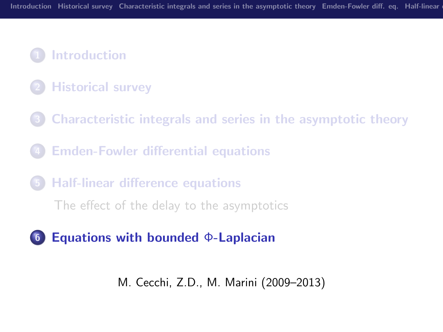### **[Introduction](#page-1-0)**

- **[Historical survey](#page-6-0)**
- 3 [Characteristic integrals and series in the asymptotic theory](#page-14-0)
- **[Emden-Fowler differential equations](#page-23-0)**
- 5 [Half-linear difference equations](#page-29-0)

[The effect of the delay to the asymptotics](#page-29-0)

### <span id="page-38-0"></span>6 [Equations with bounded](#page-38-0) Φ-Laplacian

M. Cecchi, Z.D., M. Marini (2009–2013)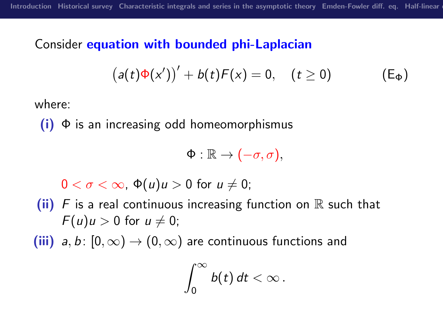#### Consider equation with bounded phi-Laplacian

$$
(a(t)\Phi(x'))' + b(t)F(x) = 0, \quad (t \ge 0)
$$
 (E<sub>Φ</sub>)

where:

 $(i)$   $\Phi$  is an increasing odd homeomorphismus

<span id="page-39-0"></span>
$$
\Phi:\mathbb{R}\to(-\sigma,\sigma),
$$

 $0 < \sigma < \infty$ ,  $\Phi(u)u > 0$  for  $u \neq 0$ ;

(ii) F is a real continuous increasing function on  $\mathbb R$  such that  $F(u)u > 0$  for  $u \neq 0$ ;

(iii)  $a, b : [0, \infty) \rightarrow (0, \infty)$  are continuous functions and

$$
\int_0^\infty b(t)\,dt < \infty\,.
$$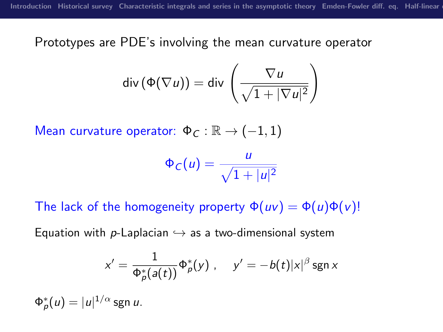Prototypes are PDE's involving the mean curvature operator

$$
\mathsf{div}\left(\Phi(\nabla u)\right) = \mathsf{div}\left(\frac{\nabla u}{\sqrt{1+|\nabla u|^2}}\right)
$$

Mean curvature operator:  $\Phi_C : \mathbb{R} \to (-1,1)$ 

$$
\Phi_C(u) = \frac{u}{\sqrt{1+|u|^2}}
$$

The lack of the homogeneity property  $\Phi(uv) = \Phi(u)\Phi(v)$ !

Equation with p-Laplacian  $\hookrightarrow$  as a two-dimensional system

$$
x'=\frac{1}{\Phi_{\rho}^*(a(t))}\Phi_{\rho}^*(y) , \quad y'=-b(t)|x|^{\beta}\operatorname{sgn} x
$$

 $\Phi^*_{\rho}(u)=|u|^{1/\alpha}$  sgn  $u.$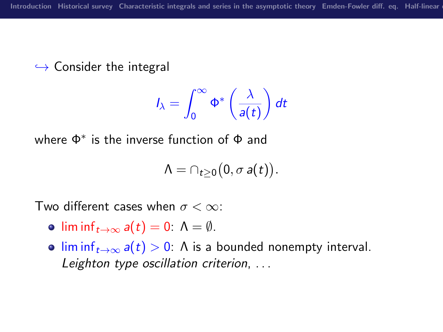$\hookrightarrow$  Consider the integral

$$
I_{\lambda} = \int_0^{\infty} \Phi^* \left( \frac{\lambda}{a(t)} \right) dt
$$

where Φ<sup>∗</sup> is the inverse function of Φ and

$$
\Lambda=\cap_{t\geq 0}\big(0,\sigma a(t)\big).
$$

Two different cases when  $\sigma < \infty$ :

- lim inf $f_{t\to\infty} a(t) = 0$ :  $\Lambda = \emptyset$ .
- lim inf $t\rightarrow\infty$  a(t) > 0:  $\Lambda$  is a bounded nonempty interval. Leighton type oscillation criterion, . . .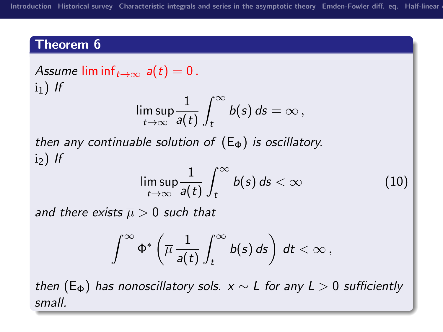#### Theorem 6

<span id="page-42-0"></span>Assume lim inf $t\rightarrow\infty$  a(t) = 0.  $i_1$ ) If

$$
\limsup_{t\to\infty}\frac{1}{a(t)}\int_t^\infty b(s)\,ds=\infty\,,
$$

then any continuable solution of  $(E_{\Phi})$  $(E_{\Phi})$  is oscillatory.  $i_2$ ) If

$$
\limsup_{t\to\infty}\frac{1}{a(t)}\int_t^\infty b(s)\,ds<\infty\qquad \qquad (10)
$$

and there exists  $\overline{\mu} > 0$  such that

$$
\int^{\infty}\Phi^*\left(\overline{\mu}\,\frac{1}{a(t)}\int_t^{\infty}b(s)\,ds\right)\,dt<\infty\,,
$$

then [\(E](#page-39-0)<sub>Φ</sub>) has nonoscillatory sols.  $x \sim L$  for any  $L > 0$  sufficiently small.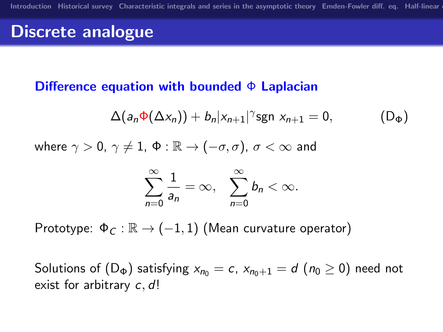## Discrete analogue

#### Difference equation with bounded  $\Phi$  Laplacian

<span id="page-43-0"></span>
$$
\Delta(a_n\Phi(\Delta x_n))+b_n|x_{n+1}|^{\gamma}\text{sgn }x_{n+1}=0, \qquad (D_{\Phi})
$$

where  $\gamma > 0$ ,  $\gamma \neq 1$ ,  $\Phi : \mathbb{R} \to (-\sigma, \sigma)$ ,  $\sigma < \infty$  and

$$
\sum_{n=0}^{\infty}\frac{1}{a_n}=\infty,\quad \sum_{n=0}^{\infty}b_n<\infty.
$$

Prototype:  $\Phi_C : \mathbb{R} \to (-1,1)$  (Mean curvature operator)

Solutions of  $(D_{\Phi})$  $(D_{\Phi})$  satisfying  $x_{n_0} = c$ ,  $x_{n_0+1} = d$   $(n_0 \ge 0)$  need not exist for arbitrary c, d!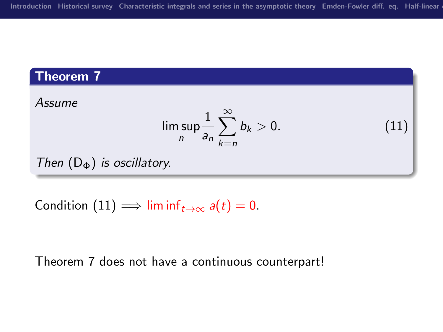### Theorem 7

<span id="page-44-1"></span>Assume

<span id="page-44-0"></span>
$$
\limsup_{n} \frac{1}{a_n} \sum_{k=n}^{\infty} b_k > 0.
$$
 (11)

Then  $(D_{\Phi})$  $(D_{\Phi})$  is oscillatory.

Condition [\(11\)](#page-44-0)  $\implies$  lim inf<sub>t→∞</sub>  $a(t) = 0$ .

Theorem [7](#page-44-1) does not have a continuous counterpart!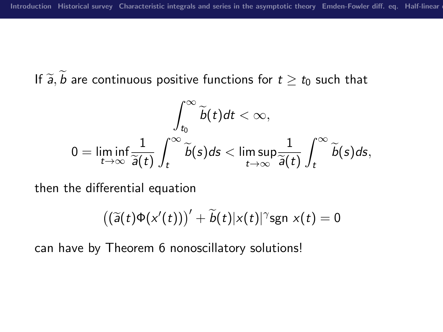# If  $\widetilde{a}$ ,  $\widetilde{b}$  are continuous positive functions for  $t \ge t_0$  such that

$$
\int_{t_0}^{\infty} \widetilde{b}(t) dt < \infty,
$$
  

$$
0 = \liminf_{t \to \infty} \frac{1}{\widetilde{a}(t)} \int_{t}^{\infty} \widetilde{b}(s) ds < \limsup_{t \to \infty} \frac{1}{\widetilde{a}(t)} \int_{t}^{\infty} \widetilde{b}(s) ds,
$$

then the differential equation

$$
((\widetilde{a}(t)\Phi(x'(t)))' + \widetilde{b}(t)|x(t)|^{\gamma} \operatorname{sgn} x(t) = 0
$$

can have by Theorem [6](#page-42-0) nonoscillatory solutions!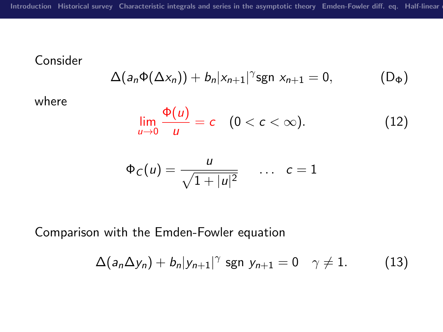### Consider

$$
\Delta(a_n\Phi(\Delta x_n))+b_n|x_{n+1}|^\gamma \text{sgn }x_{n+1}=0, \qquad (D_\Phi)
$$

where

$$
\lim_{u\to 0}\frac{\Phi(u)}{u}=c\quad(0 (12)
$$

<span id="page-46-0"></span>
$$
\Phi_C(u) = \frac{u}{\sqrt{1+|u|^2}} \quad \dots \quad c=1
$$

Comparison with the Emden-Fowler equation

$$
\Delta(a_n \Delta y_n) + b_n |y_{n+1}|^{\gamma} \text{ sgn } y_{n+1} = 0 \quad \gamma \neq 1. \tag{13}
$$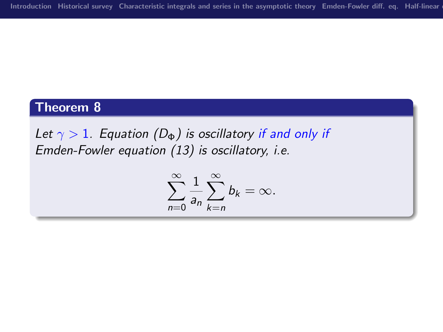### Theorem 8

Let  $\gamma > 1$ . Equation ( $D_{\Phi}$ ) is oscillatory if and only if Emden-Fowler equation [\(13\)](#page-46-0) is oscillatory, i.e.

$$
\sum_{n=0}^{\infty} \frac{1}{a_n} \sum_{k=n}^{\infty} b_k = \infty.
$$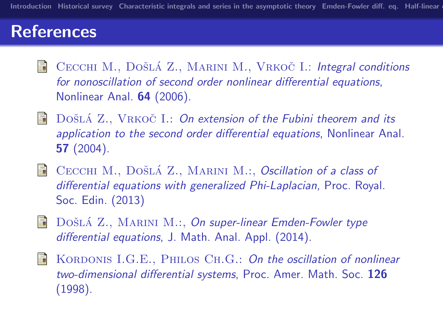## References

- 量 CECCHI M., DOŠLÁ Z., MARINI M., VRKOČ I.: Integral conditions for nonoscillation of second order nonlinear differential equations, Nonlinear Anal. 64 (2006).
- DOŠLÁ Z., VRKOČ I.: On extension of the Fubini theorem and its H application to the second order differential equations, Nonlinear Anal. 57 (2004).
- $\Box$  CECCHI M., DOŠLÁ Z., MARINI M.:, Oscillation of a class of differential equations with generalized Phi-Laplacian, Proc. Royal. Soc. Edin. (2013)
- F DOŠLÁ Z., MARINI M.:, On super-linear Emden-Fowler type differential equations, J. Math. Anal. Appl. (2014).
- F KORDONIS I.G.E., PHILOS CH.G.: On the oscillation of nonlinear two-dimensional differential systems, Proc. Amer. Math. Soc. 126 (1998).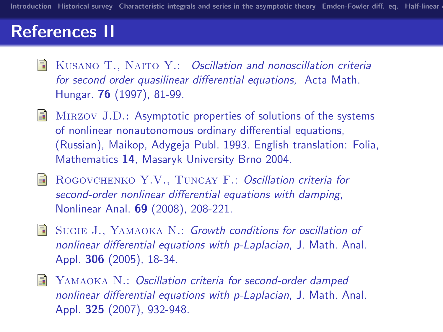# References II

- E KUSANO T., NAITO Y.: Oscillation and nonoscillation criteria for second order quasilinear differential equations, Acta Math. Hungar. 76 (1997), 81-99.
- H MIRZOV J.D.: Asymptotic properties of solutions of the systems of nonlinear nonautonomous ordinary differential equations, (Russian), Maikop, Adygeja Publ. 1993. English translation: Folia, Mathematics 14, Masaryk University Brno 2004.
- H ROGOVCHENKO Y.V., TUNCAY F.: Oscillation criteria for second-order nonlinear differential equations with damping, Nonlinear Anal. 69 (2008), 208-221.
- Sugie J., Yamaoka N.: Growth conditions for oscillation of nonlinear differential equations with p-Laplacian, J. Math. Anal. Appl. 306 (2005), 18-34.
- YAMAOKA N.: Oscillation criteria for second-order damped F. nonlinear differential equations with p-Laplacian, J. Math. Anal. Appl. 325 (2007), 932-948.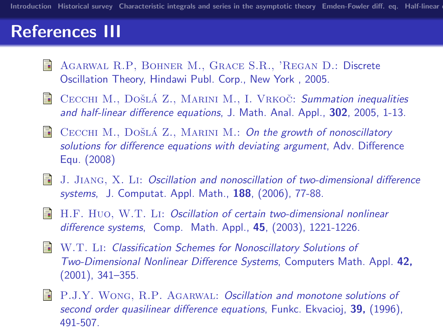# References III

- Agarwal R.P, Bohner M., Grace S.R., 'Regan D.: Discrete Oscillation Theory, Hindawi Publ. Corp., New York , 2005.
- $\blacksquare$  CECCHI M., DOŠLÁ Z., MARINI M., I. VRKOČ: Summation inequalities and half-linear difference equations, J. Math. Anal. Appl., 302, 2005, 1-13.
- $\blacksquare$  CECCHI M., DOŠLÁ Z., MARINI M.: On the growth of nonoscillatory solutions for difference equations with deviating argument, Adv. Difference Equ. (2008)
- **J.** Jiang, X. Li: Oscillation and nonoscillation of two-dimensional difference systems, J. Computat. Appl. Math., 188, (2006), 77-88.
- **H.F. HUO, W.T. LI: Oscillation of certain two-dimensional nonlinear** difference systems, Comp. Math. Appl., 45, (2003), 1221-1226.
- W.T. Li: Classification Schemes for Nonoscillatory Solutions of Two-Dimensional Nonlinear Difference Systems, Computers Math. Appl. 42, (2001), 341–355.
- **P.J.Y. WONG, R.P. AGARWAL: Oscillation and monotone solutions of** second order quasilinear difference equations, Funkc. Ekvacioj, 39, (1996), 491-507.